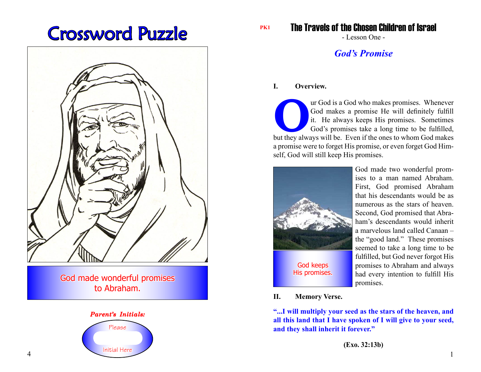# Crossword Puzzle



God made wonderful promises to Abraham.

### *Parent's Initials:* Please Initial Here

The Travels of the Chosen Children of Israel **PK1**

- Lesson One -

### *God's Promise*

#### **I. Overview.**

ar God is a God who makes promises. Whenever<br>
God makes a promise He will definitely fulfill<br>
it. He always keeps His promises. Sometimes<br>
God's promises take a long time to be fulfilled,<br>
but they always will be. Even if God makes a promise He will definitely fulfill it. He always keeps His promises. Sometimes God's promises take a long time to be fulfilled, but they always will be. Even if the ones to whom God makes a promise were to forget His promise, or even forget God Himself, God will still keep His promises.



God made two wonderful promises to a man named Abraham. First, God promised Abraham that his descendants would be as numerous as the stars of heaven. Second, God promised that Abraham's descendants would inherit a marvelous land called Canaan – the "good land." These promises seemed to take a long time to be fulfilled, but God never forgot His promises to Abraham and always had every intention to fulfill His promises.

**II. Memory Verse.**

**"...I will multiply your seed as the stars of the heaven, and all this land that I have spoken of I will give to your seed, and they shall inherit it forever."**

**(Exo. 32:13b)**